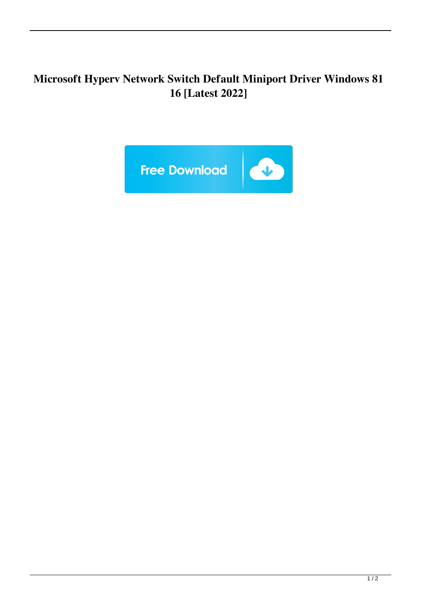## **Microsoft Hyperv Network Switch Default Miniport Driver Windows 81 16 [Latest 2022]**